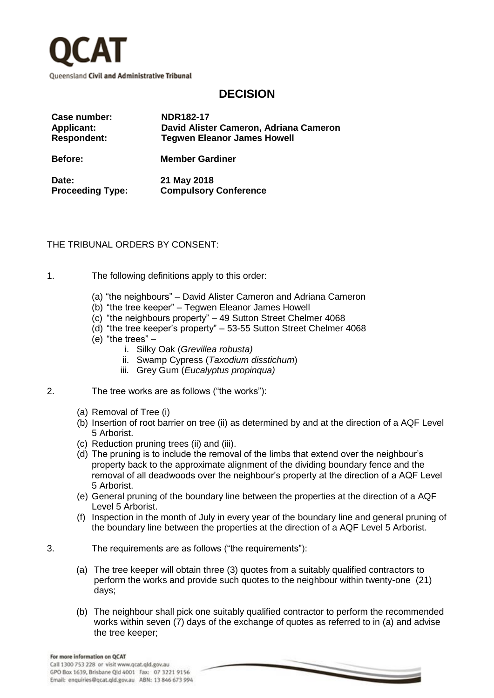

## **DECISION**

| Case number:            | <b>NDR182-17</b>                       |
|-------------------------|----------------------------------------|
| <b>Applicant:</b>       | David Alister Cameron, Adriana Cameron |
| <b>Respondent:</b>      | <b>Tegwen Eleanor James Howell</b>     |
| <b>Before:</b>          | <b>Member Gardiner</b>                 |
| Date:                   | 21 May 2018                            |
| <b>Proceeding Type:</b> | <b>Compulsory Conference</b>           |

THE TRIBUNAL ORDERS BY CONSENT:

- 1. The following definitions apply to this order:
	- (a) "the neighbours" David Alister Cameron and Adriana Cameron
	- (b) "the tree keeper" Tegwen Eleanor James Howell
	- (c) "the neighbours property" 49 Sutton Street Chelmer 4068
	- (d) "the tree keeper's property" 53-55 Sutton Street Chelmer 4068
	- (e) "the trees"
		- i. Silky Oak (*Grevillea robusta)*
		- ii. Swamp Cypress (*Taxodium disstichum*)
		- iii. Grey Gum (*Eucalyptus propinqua)*
- 2. The tree works are as follows ("the works"):
	- (a) Removal of Tree (i)
	- (b) Insertion of root barrier on tree (ii) as determined by and at the direction of a AQF Level 5 Arborist.
	- (c) Reduction pruning trees (ii) and (iii).
	- (d) The pruning is to include the removal of the limbs that extend over the neighbour's property back to the approximate alignment of the dividing boundary fence and the removal of all deadwoods over the neighbour's property at the direction of a AQF Level 5 Arborist.
	- (e) General pruning of the boundary line between the properties at the direction of a AQF Level 5 Arborist.
	- (f) Inspection in the month of July in every year of the boundary line and general pruning of the boundary line between the properties at the direction of a AQF Level 5 Arborist.
- 3. The requirements are as follows ("the requirements"):
	- (a) The tree keeper will obtain three (3) quotes from a suitably qualified contractors to perform the works and provide such quotes to the neighbour within twenty-one (21) days;
	- (b) The neighbour shall pick one suitably qualified contractor to perform the recommended works within seven (7) days of the exchange of quotes as referred to in (a) and advise the tree keeper;